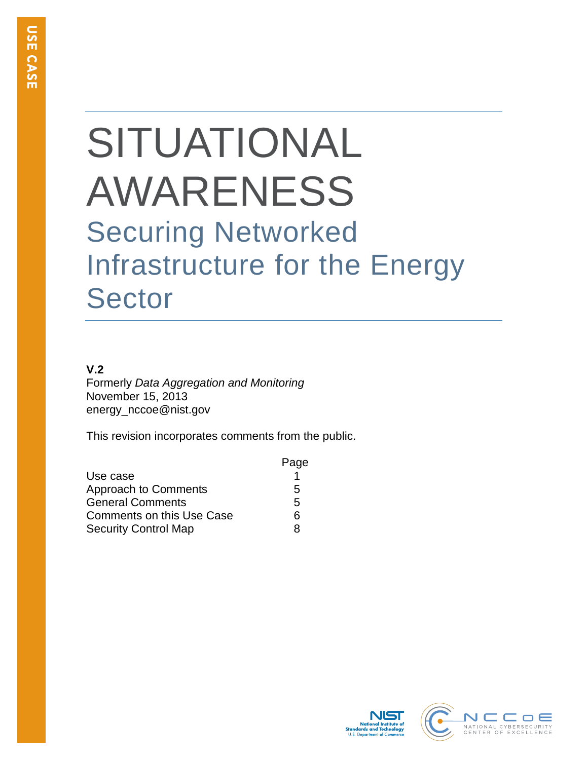# SITUATIONAL AWARENESS Securing Networked Infrastructure for the Energy Sector

## **V.2**

Formerly *Data Aggregation and Monitoring* November 15, 2013 energy\_nccoe@nist.gov

This revision incorporates comments from the public.

|                                  | Page |
|----------------------------------|------|
| Use case                         |      |
| <b>Approach to Comments</b>      | 5    |
| <b>General Comments</b>          | 5    |
| <b>Comments on this Use Case</b> | ิค   |
| <b>Security Control Map</b>      | 8    |

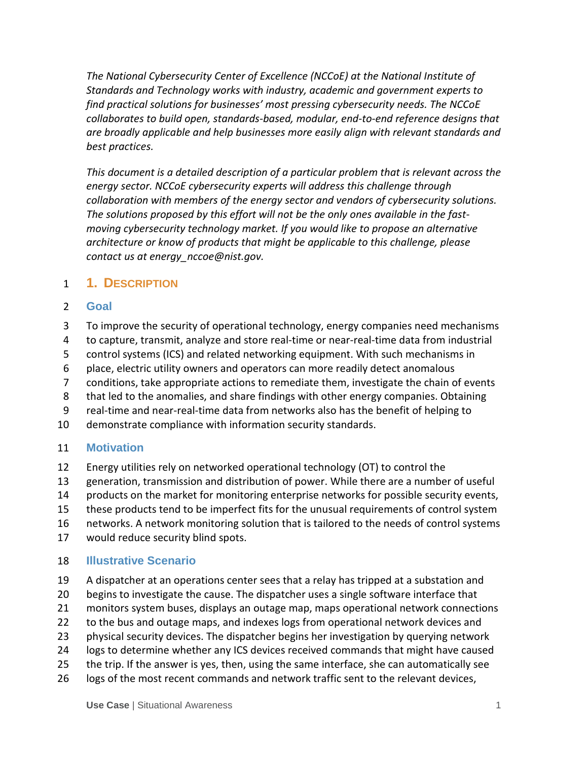*The National Cybersecurity Center of Excellence (NCCoE) at the National Institute of Standards and Technology works with industry, academic and government experts to find practical solutions for businesses' most pressing cybersecurity needs. The NCCoE collaborates to build open, standards-based, modular, end-to-end reference designs that are broadly applicable and help businesses more easily align with relevant standards and best practices.*

*This document is a detailed description of a particular problem that is relevant across the energy sector. NCCoE cybersecurity experts will address this challenge through collaboration with members of the energy sector and vendors of cybersecurity solutions. The solutions proposed by this effort will not be the only ones available in the fastmoving cybersecurity technology market. If you would like to propose an alternative architecture or know of products that might be applicable to this challenge, please contact us at energy\_nccoe@nist.gov.*

### 1 **1. DESCRIPTION**

#### 2 **Goal**

- 3 To improve the security of operational technology, energy companies need mechanisms
- 4 to capture, transmit, analyze and store real-time or near-real-time data from industrial
- 5 control systems (ICS) and related networking equipment. With such mechanisms in
- 6 place, electric utility owners and operators can more readily detect anomalous
- 7 conditions, take appropriate actions to remediate them, investigate the chain of events
- 8 that led to the anomalies, and share findings with other energy companies. Obtaining
- 9 real-time and near-real-time data from networks also has the benefit of helping to
- 10 demonstrate compliance with information security standards.

#### 11 **Motivation**

- 12 Energy utilities rely on networked operational technology (OT) to control the
- 13 generation, transmission and distribution of power. While there are a number of useful
- 14 products on the market for monitoring enterprise networks for possible security events,
- 15 these products tend to be imperfect fits for the unusual requirements of control system
- 16 networks. A network monitoring solution that is tailored to the needs of control systems
- 17 would reduce security blind spots.

#### 18 **Illustrative Scenario**

- 19 A dispatcher at an operations center sees that a relay has tripped at a substation and
- 20 begins to investigate the cause. The dispatcher uses a single software interface that
- 21 monitors system buses, displays an outage map, maps operational network connections
- 22 to the bus and outage maps, and indexes logs from operational network devices and
- 23 physical security devices. The dispatcher begins her investigation by querying network
- 24 logs to determine whether any ICS devices received commands that might have caused
- 25 the trip. If the answer is yes, then, using the same interface, she can automatically see
- 26 logs of the most recent commands and network traffic sent to the relevant devices,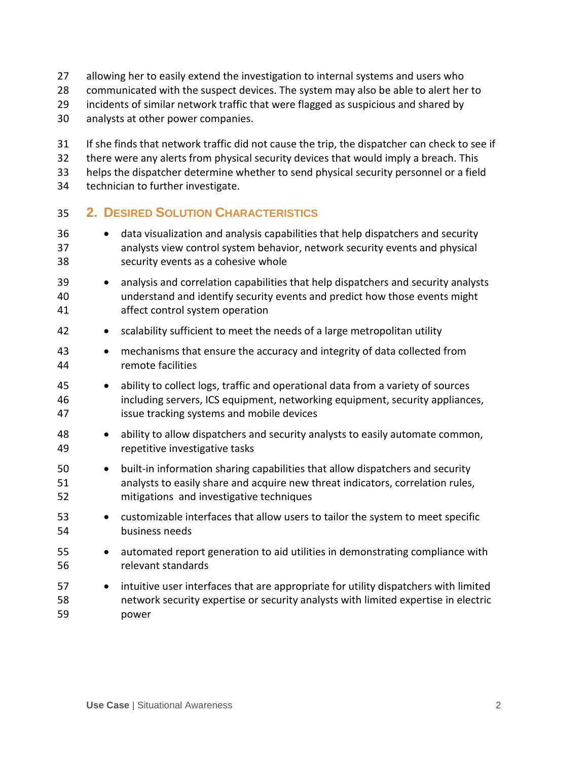- allowing her to easily extend the investigation to internal systems and users who
- communicated with the suspect devices. The system may also be able to alert her to
- incidents of similar network traffic that were flagged as suspicious and shared by
- analysts at other power companies.
- If she finds that network traffic did not cause the trip, the dispatcher can check to see if
- there were any alerts from physical security devices that would imply a breach. This
- helps the dispatcher determine whether to send physical security personnel or a field
- technician to further investigate.
- **2. DESIRED SOLUTION CHARACTERISTICS**
- data visualization and analysis capabilities that help dispatchers and security analysts view control system behavior, network security events and physical security events as a cohesive whole • analysis and correlation capabilities that help dispatchers and security analysts
- understand and identify security events and predict how those events might affect control system operation
- scalability sufficient to meet the needs of a large metropolitan utility
- mechanisms that ensure the accuracy and integrity of data collected from remote facilities
- ability to collect logs, traffic and operational data from a variety of sources including servers, ICS equipment, networking equipment, security appliances, issue tracking systems and mobile devices
- ability to allow dispatchers and security analysts to easily automate common, repetitive investigative tasks
- built-in information sharing capabilities that allow dispatchers and security analysts to easily share and acquire new threat indicators, correlation rules, mitigations and investigative techniques
- customizable interfaces that allow users to tailor the system to meet specific business needs
- automated report generation to aid utilities in demonstrating compliance with relevant standards
- intuitive user interfaces that are appropriate for utility dispatchers with limited network security expertise or security analysts with limited expertise in electric power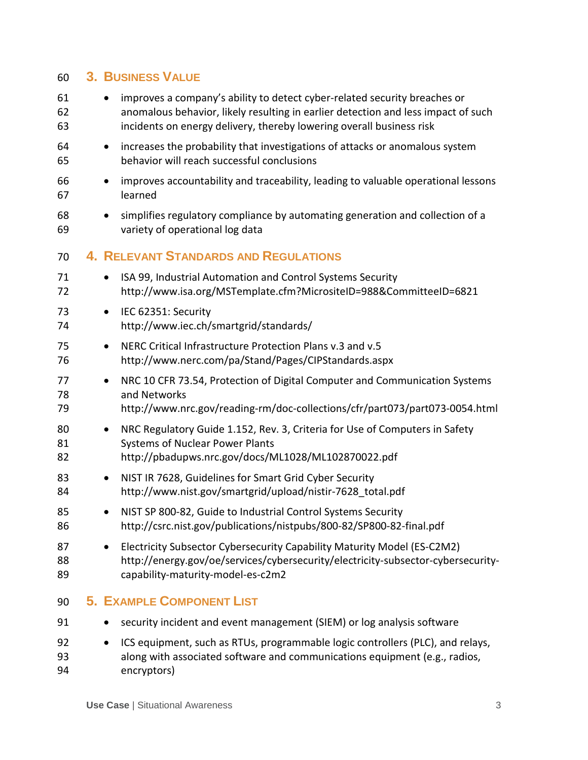#### **3. BUSINESS VALUE**

- improves a company's ability to detect cyber-related security breaches or anomalous behavior, likely resulting in earlier detection and less impact of such incidents on energy delivery, thereby lowering overall business risk • increases the probability that investigations of attacks or anomalous system behavior will reach successful conclusions • improves accountability and traceability, leading to valuable operational lessons learned • simplifies regulatory compliance by automating generation and collection of a variety of operational log data **4. RELEVANT STANDARDS AND REGULATIONS** 71 • ISA 99, Industrial Automation and Control Systems Security http://www.isa.org/MSTemplate.cfm?MicrositeID=988&CommitteeID=6821 • IEC 62351: Security http://www.iec.ch/smartgrid/standards/ • NERC Critical Infrastructure Protection Plans v.3 and v.5 http://www.nerc.com/pa/Stand/Pages/CIPStandards.aspx 77 • NRC 10 CFR 73.54, Protection of Digital Computer and Communication Systems and Networks http://www.nrc.gov/reading-rm/doc-collections/cfr/part073/part073-0054.html 80 • NRC Regulatory Guide 1.152, Rev. 3, Criteria for Use of Computers in Safety Systems of Nuclear Power Plants http://pbadupws.nrc.gov/docs/ML1028/ML102870022.pdf 83 • NIST IR 7628, Guidelines for Smart Grid Cyber Security http://www.nist.gov/smartgrid/upload/nistir-7628\_total.pdf 85 • NIST SP 800-82, Guide to Industrial Control Systems Security http://csrc.nist.gov/publications/nistpubs/800-82/SP800-82-final.pdf 87 • Electricity Subsector Cybersecurity Capability Maturity Model (ES-C2M2) http://energy.gov/oe/services/cybersecurity/electricity-subsector-cybersecurity- capability-maturity-model-es-c2m2 **5. EXAMPLE COMPONENT LIST** 91 • security incident and event management (SIEM) or log analysis software • ICS equipment, such as RTUs, programmable logic controllers (PLC), and relays, along with associated software and communications equipment (e.g., radios,
- encryptors)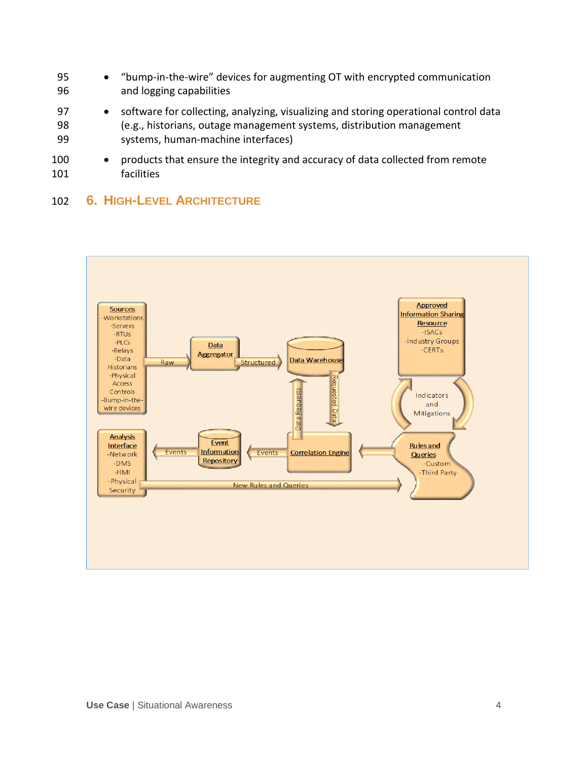- "bump-in-the-wire" devices for augmenting OT with encrypted communication and logging capabilities 97 • software for collecting, analyzing, visualizing and storing operational control data (e.g., historians, outage management systems, distribution management systems, human-machine interfaces)
- 100 products that ensure the integrity and accuracy of data collected from remote facilities

## **6. HIGH-LEVEL ARCHITECTURE**

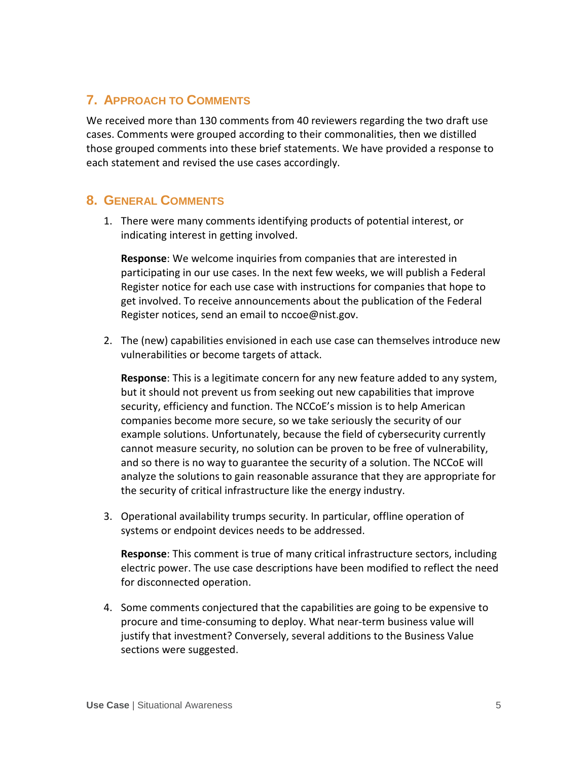## **7. APPROACH TO COMMENTS**

We received more than 130 comments from 40 reviewers regarding the two draft use cases. Comments were grouped according to their commonalities, then we distilled those grouped comments into these brief statements. We have provided a response to each statement and revised the use cases accordingly.

## **8. GENERAL COMMENTS**

1. There were many comments identifying products of potential interest, or indicating interest in getting involved.

**Response**: We welcome inquiries from companies that are interested in participating in our use cases. In the next few weeks, we will publish a Federal Register notice for each use case with instructions for companies that hope to get involved. To receive announcements about the publication of the Federal Register notices, send an email to nccoe@nist.gov.

2. The (new) capabilities envisioned in each use case can themselves introduce new vulnerabilities or become targets of attack.

**Response**: This is a legitimate concern for any new feature added to any system, but it should not prevent us from seeking out new capabilities that improve security, efficiency and function. The NCCoE's mission is to help American companies become more secure, so we take seriously the security of our example solutions. Unfortunately, because the field of cybersecurity currently cannot measure security, no solution can be proven to be free of vulnerability, and so there is no way to guarantee the security of a solution. The NCCoE will analyze the solutions to gain reasonable assurance that they are appropriate for the security of critical infrastructure like the energy industry.

3. Operational availability trumps security. In particular, offline operation of systems or endpoint devices needs to be addressed.

**Response**: This comment is true of many critical infrastructure sectors, including electric power. The use case descriptions have been modified to reflect the need for disconnected operation.

4. Some comments conjectured that the capabilities are going to be expensive to procure and time-consuming to deploy. What near-term business value will justify that investment? Conversely, several additions to the Business Value sections were suggested.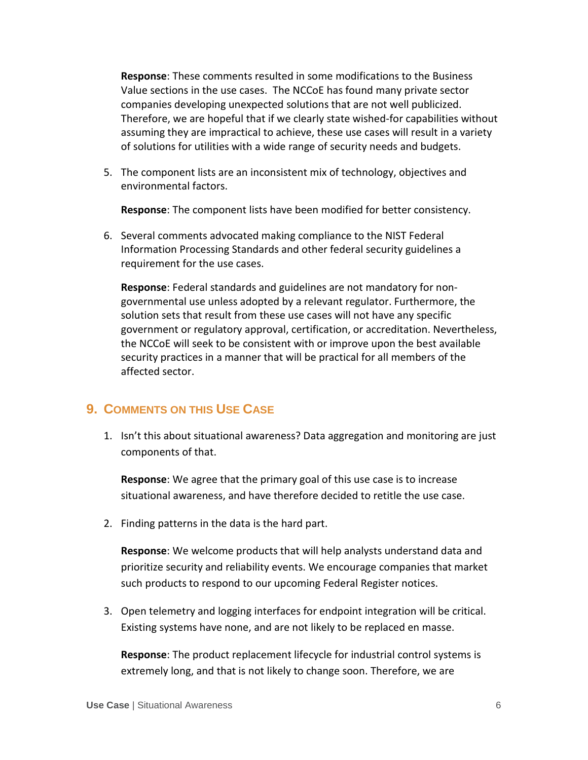**Response**: These comments resulted in some modifications to the Business Value sections in the use cases. The NCCoE has found many private sector companies developing unexpected solutions that are not well publicized. Therefore, we are hopeful that if we clearly state wished-for capabilities without assuming they are impractical to achieve, these use cases will result in a variety of solutions for utilities with a wide range of security needs and budgets.

5. The component lists are an inconsistent mix of technology, objectives and environmental factors.

**Response**: The component lists have been modified for better consistency.

6. Several comments advocated making compliance to the NIST Federal Information Processing Standards and other federal security guidelines a requirement for the use cases.

**Response**: Federal standards and guidelines are not mandatory for nongovernmental use unless adopted by a relevant regulator. Furthermore, the solution sets that result from these use cases will not have any specific government or regulatory approval, certification, or accreditation. Nevertheless, the NCCoE will seek to be consistent with or improve upon the best available security practices in a manner that will be practical for all members of the affected sector.

## **9. COMMENTS ON THIS USE CASE**

1. Isn't this about situational awareness? Data aggregation and monitoring are just components of that.

**Response**: We agree that the primary goal of this use case is to increase situational awareness, and have therefore decided to retitle the use case.

2. Finding patterns in the data is the hard part.

**Response**: We welcome products that will help analysts understand data and prioritize security and reliability events. We encourage companies that market such products to respond to our upcoming Federal Register notices.

3. Open telemetry and logging interfaces for endpoint integration will be critical. Existing systems have none, and are not likely to be replaced en masse.

**Response**: The product replacement lifecycle for industrial control systems is extremely long, and that is not likely to change soon. Therefore, we are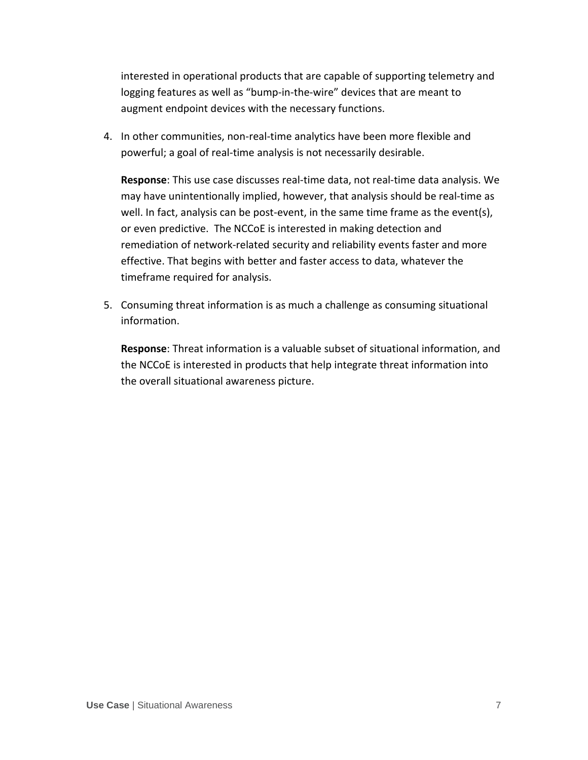interested in operational products that are capable of supporting telemetry and logging features as well as "bump-in-the-wire" devices that are meant to augment endpoint devices with the necessary functions.

4. In other communities, non-real-time analytics have been more flexible and powerful; a goal of real-time analysis is not necessarily desirable.

**Response**: This use case discusses real-time data, not real-time data analysis. We may have unintentionally implied, however, that analysis should be real-time as well. In fact, analysis can be post-event, in the same time frame as the event(s), or even predictive. The NCCoE is interested in making detection and remediation of network-related security and reliability events faster and more effective. That begins with better and faster access to data, whatever the timeframe required for analysis.

5. Consuming threat information is as much a challenge as consuming situational information.

**Response**: Threat information is a valuable subset of situational information, and the NCCoE is interested in products that help integrate threat information into the overall situational awareness picture.